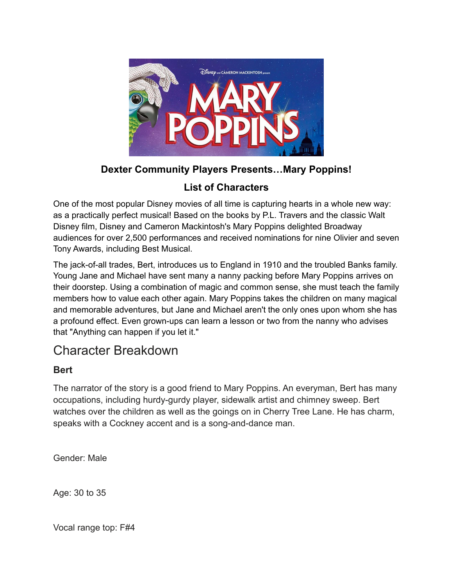

# **Dexter Community Players Presents…Mary Poppins!**

# **List of Characters**

One of the most popular Disney movies of all time is capturing hearts in a whole new way: as a practically perfect musical! Based on the books by P.L. Travers and the classic Walt Disney film, Disney and Cameron Mackintosh's Mary Poppins delighted Broadway audiences for over 2,500 performances and received nominations for nine Olivier and seven Tony Awards, including Best Musical.

The jack-of-all trades, Bert, introduces us to England in 1910 and the troubled Banks family. Young Jane and Michael have sent many a nanny packing before Mary Poppins arrives on their doorstep. Using a combination of magic and common sense, she must teach the family members how to value each other again. Mary Poppins takes the children on many magical and memorable adventures, but Jane and Michael aren't the only ones upon whom she has a profound effect. Even grown-ups can learn a lesson or two from the nanny who advises that "Anything can happen if you let it."

# Character Breakdown

# **Bert**

The narrator of the story is a good friend to Mary Poppins. An everyman, Bert has many occupations, including hurdy-gurdy player, sidewalk artist and chimney sweep. Bert watches over the children as well as the goings on in Cherry Tree Lane. He has charm, speaks with a Cockney accent and is a song-and-dance man.

Gender: Male

Age: 30 to 35

Vocal range top: F#4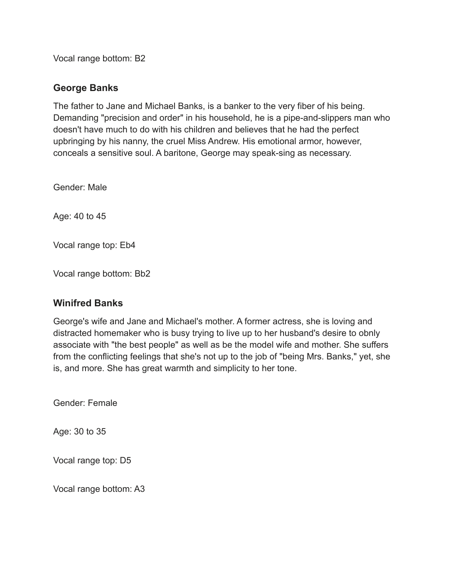Vocal range bottom: B2

# **George Banks**

The father to Jane and Michael Banks, is a banker to the very fiber of his being. Demanding "precision and order" in his household, he is a pipe-and-slippers man who doesn't have much to do with his children and believes that he had the perfect upbringing by his nanny, the cruel Miss Andrew. His emotional armor, however, conceals a sensitive soul. A baritone, George may speak-sing as necessary.

Gender: Male

Age: 40 to 45

Vocal range top: Eb4

Vocal range bottom: Bb2

## **Winifred Banks**

George's wife and Jane and Michael's mother. A former actress, she is loving and distracted homemaker who is busy trying to live up to her husband's desire to obnly associate with "the best people" as well as be the model wife and mother. She suffers from the conflicting feelings that she's not up to the job of "being Mrs. Banks," yet, she is, and more. She has great warmth and simplicity to her tone.

Gender: Female

Age: 30 to 35

Vocal range top: D5

Vocal range bottom: A3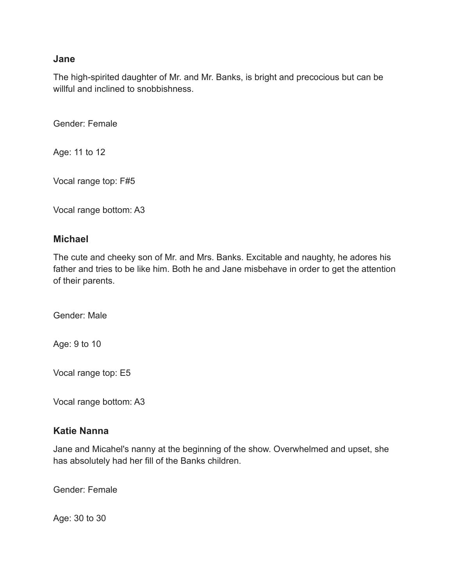#### **Jane**

The high-spirited daughter of Mr. and Mr. Banks, is bright and precocious but can be willful and inclined to snobbishness.

Gender: Female

Age: 11 to 12

Vocal range top: F#5

Vocal range bottom: A3

## **Michael**

The cute and cheeky son of Mr. and Mrs. Banks. Excitable and naughty, he adores his father and tries to be like him. Both he and Jane misbehave in order to get the attention of their parents.

Gender: Male

Age: 9 to 10

Vocal range top: E5

Vocal range bottom: A3

## **Katie Nanna**

Jane and Micahel's nanny at the beginning of the show. Overwhelmed and upset, she has absolutely had her fill of the Banks children.

Gender: Female

Age: 30 to 30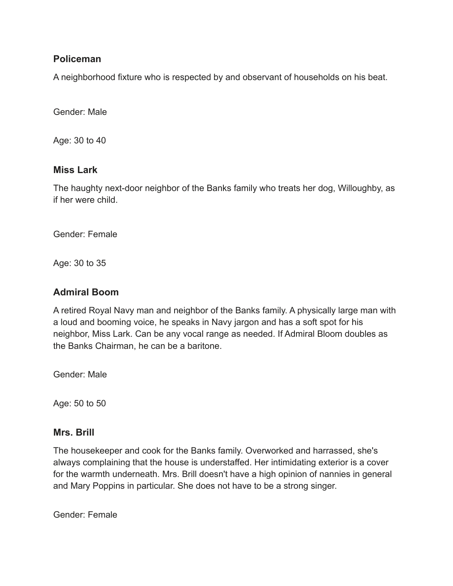# **Policeman**

A neighborhood fixture who is respected by and observant of households on his beat.

Gender: Male

Age: 30 to 40

## **Miss Lark**

The haughty next-door neighbor of the Banks family who treats her dog, Willoughby, as if her were child.

Gender: Female

Age: 30 to 35

# **Admiral Boom**

A retired Royal Navy man and neighbor of the Banks family. A physically large man with a loud and booming voice, he speaks in Navy jargon and has a soft spot for his neighbor, Miss Lark. Can be any vocal range as needed. If Admiral Bloom doubles as the Banks Chairman, he can be a baritone.

Gender: Male

Age: 50 to 50

## **Mrs. Brill**

The housekeeper and cook for the Banks family. Overworked and harrassed, she's always complaining that the house is understaffed. Her intimidating exterior is a cover for the warmth underneath. Mrs. Brill doesn't have a high opinion of nannies in general and Mary Poppins in particular. She does not have to be a strong singer.

Gender: Female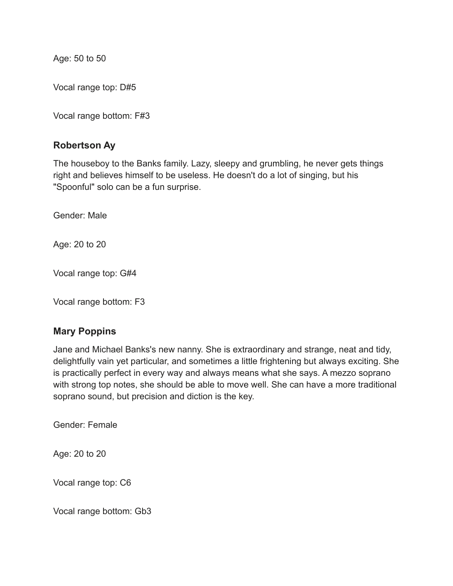Age: 50 to 50

Vocal range top: D#5

Vocal range bottom: F#3

## **Robertson Ay**

The houseboy to the Banks family. Lazy, sleepy and grumbling, he never gets things right and believes himself to be useless. He doesn't do a lot of singing, but his "Spoonful" solo can be a fun surprise.

Gender: Male

Age: 20 to 20

Vocal range top: G#4

Vocal range bottom: F3

## **Mary Poppins**

Jane and Michael Banks's new nanny. She is extraordinary and strange, neat and tidy, delightfully vain yet particular, and sometimes a little frightening but always exciting. She is practically perfect in every way and always means what she says. A mezzo soprano with strong top notes, she should be able to move well. She can have a more traditional soprano sound, but precision and diction is the key.

Gender: Female

Age: 20 to 20

Vocal range top: C6

Vocal range bottom: Gb3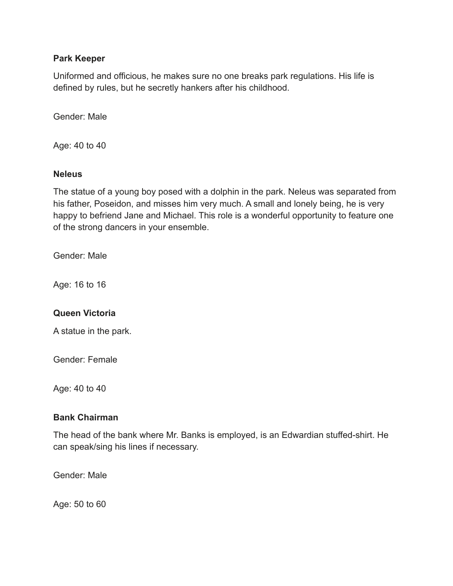#### **Park Keeper**

Uniformed and officious, he makes sure no one breaks park regulations. His life is defined by rules, but he secretly hankers after his childhood.

Gender: Male

Age: 40 to 40

#### **Neleus**

The statue of a young boy posed with a dolphin in the park. Neleus was separated from his father, Poseidon, and misses him very much. A small and lonely being, he is very happy to befriend Jane and Michael. This role is a wonderful opportunity to feature one of the strong dancers in your ensemble.

Gender: Male

Age: 16 to 16

## **Queen Victoria**

A statue in the park.

Gender: Female

Age: 40 to 40

## **Bank Chairman**

The head of the bank where Mr. Banks is employed, is an Edwardian stuffed-shirt. He can speak/sing his lines if necessary.

Gender: Male

Age: 50 to 60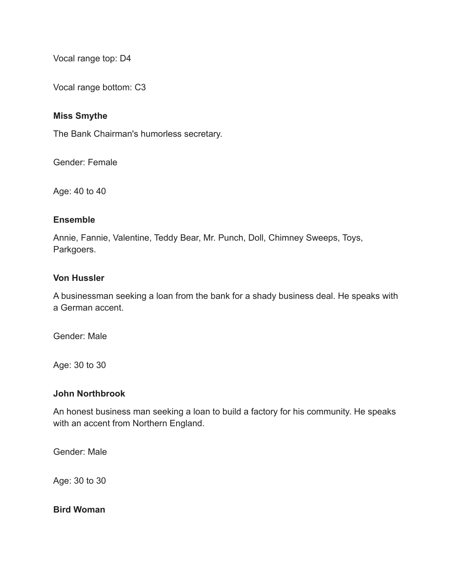Vocal range top: D4

Vocal range bottom: C3

#### **Miss Smythe**

The Bank Chairman's humorless secretary.

Gender: Female

Age: 40 to 40

#### **Ensemble**

Annie, Fannie, Valentine, Teddy Bear, Mr. Punch, Doll, Chimney Sweeps, Toys, Parkgoers.

#### **Von Hussler**

A businessman seeking a loan from the bank for a shady business deal. He speaks with a German accent.

Gender: Male

Age: 30 to 30

#### **John Northbrook**

An honest business man seeking a loan to build a factory for his community. He speaks with an accent from Northern England.

Gender: Male

Age: 30 to 30

**Bird Woman**